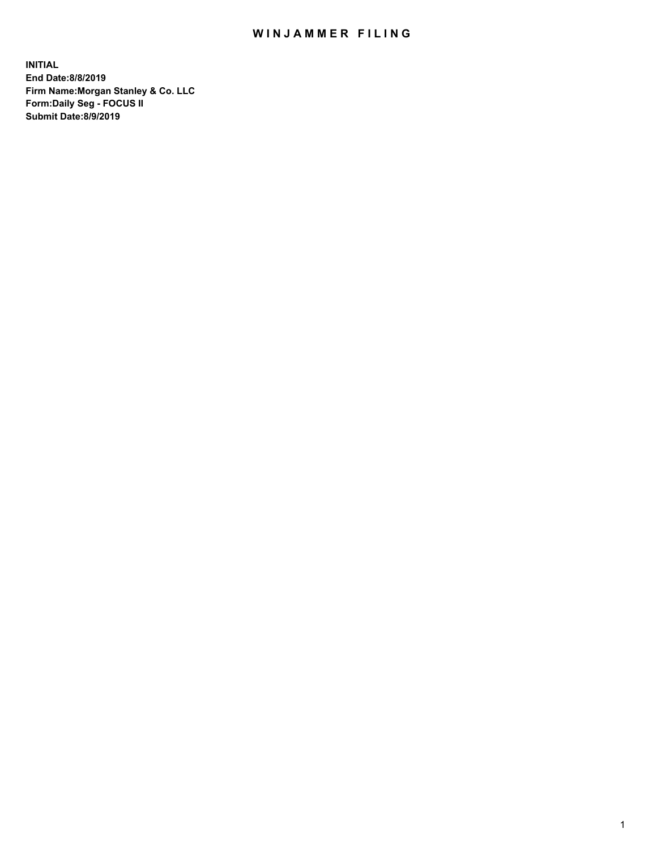## WIN JAMMER FILING

**INITIAL End Date:8/8/2019 Firm Name:Morgan Stanley & Co. LLC Form:Daily Seg - FOCUS II Submit Date:8/9/2019**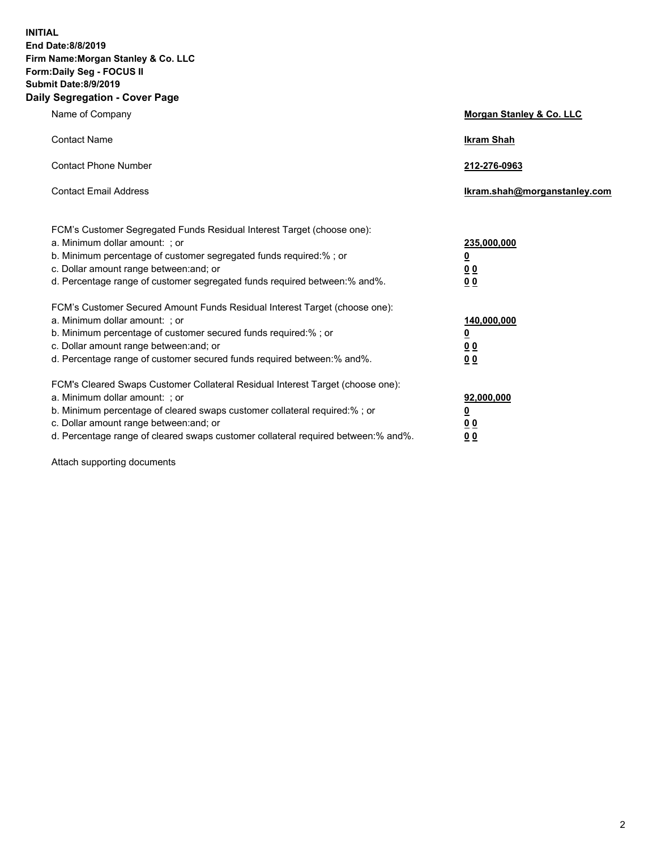**INITIAL End Date:8/8/2019 Firm Name:Morgan Stanley & Co. LLC Form:Daily Seg - FOCUS II Submit Date:8/9/2019 Daily Segregation - Cover Page**

| Name of Company                                                                                                                                                                                                                                                                                                                | Morgan Stanley & Co. LLC                               |
|--------------------------------------------------------------------------------------------------------------------------------------------------------------------------------------------------------------------------------------------------------------------------------------------------------------------------------|--------------------------------------------------------|
| <b>Contact Name</b>                                                                                                                                                                                                                                                                                                            | <b>Ikram Shah</b>                                      |
| <b>Contact Phone Number</b>                                                                                                                                                                                                                                                                                                    | 212-276-0963                                           |
| <b>Contact Email Address</b>                                                                                                                                                                                                                                                                                                   | Ikram.shah@morganstanley.com                           |
| FCM's Customer Segregated Funds Residual Interest Target (choose one):<br>a. Minimum dollar amount: ; or<br>b. Minimum percentage of customer segregated funds required:% ; or<br>c. Dollar amount range between: and; or<br>d. Percentage range of customer segregated funds required between:% and%.                         | 235,000,000<br><u>0</u><br>0 <sub>0</sub><br>00        |
| FCM's Customer Secured Amount Funds Residual Interest Target (choose one):<br>a. Minimum dollar amount: ; or<br>b. Minimum percentage of customer secured funds required:% ; or<br>c. Dollar amount range between: and; or<br>d. Percentage range of customer secured funds required between:% and%.                           | 140,000,000<br><u>0</u><br><u>00</u><br>0 <sub>0</sub> |
| FCM's Cleared Swaps Customer Collateral Residual Interest Target (choose one):<br>a. Minimum dollar amount: ; or<br>b. Minimum percentage of cleared swaps customer collateral required:% ; or<br>c. Dollar amount range between: and; or<br>d. Percentage range of cleared swaps customer collateral required between:% and%. | 92,000,000<br><u>0</u><br>0 Q<br>0 <sub>0</sub>        |

Attach supporting documents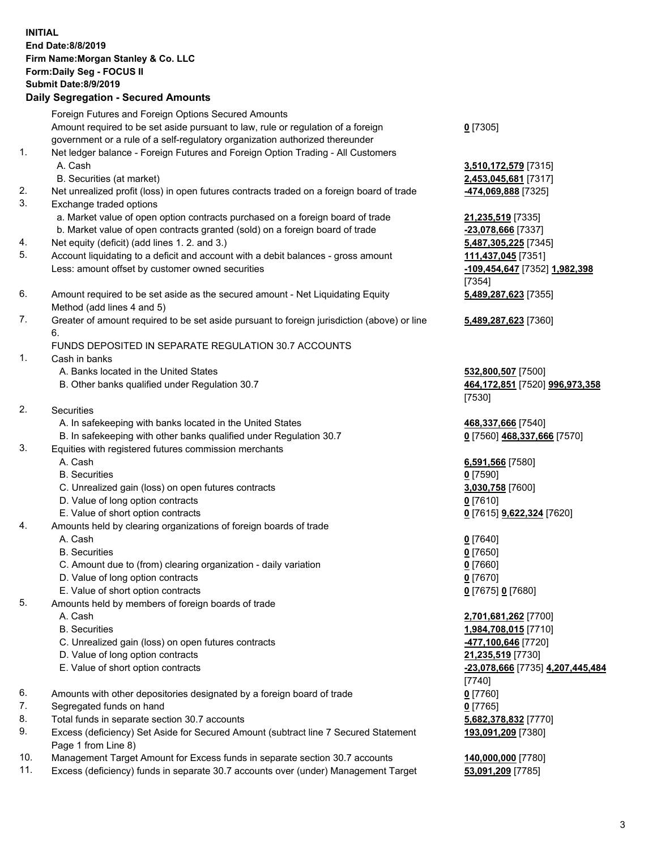|          | <b>INITIAL</b><br>End Date: 8/8/2019<br>Firm Name: Morgan Stanley & Co. LLC<br>Form: Daily Seg - FOCUS II<br><b>Submit Date: 8/9/2019</b><br><b>Daily Segregation - Secured Amounts</b> |                                         |
|----------|-----------------------------------------------------------------------------------------------------------------------------------------------------------------------------------------|-----------------------------------------|
|          | Foreign Futures and Foreign Options Secured Amounts                                                                                                                                     |                                         |
|          | Amount required to be set aside pursuant to law, rule or regulation of a foreign                                                                                                        | $0$ [7305]                              |
|          | government or a rule of a self-regulatory organization authorized thereunder                                                                                                            |                                         |
| 1.       | Net ledger balance - Foreign Futures and Foreign Option Trading - All Customers                                                                                                         |                                         |
|          | A. Cash                                                                                                                                                                                 | 3,510,172,579 [7315]                    |
|          | B. Securities (at market)                                                                                                                                                               | 2,453,045,681 [7317]                    |
| 2.<br>3. | Net unrealized profit (loss) in open futures contracts traded on a foreign board of trade                                                                                               | -474,069,888 [7325]                     |
|          | Exchange traded options<br>a. Market value of open option contracts purchased on a foreign board of trade                                                                               | 21,235,519 [7335]                       |
|          | b. Market value of open contracts granted (sold) on a foreign board of trade                                                                                                            | -23,078,666 [7337]                      |
| 4.       | Net equity (deficit) (add lines 1.2. and 3.)                                                                                                                                            | 5,487,305,225 [7345]                    |
| 5.       | Account liquidating to a deficit and account with a debit balances - gross amount                                                                                                       | 111,437,045 [7351]                      |
|          | Less: amount offset by customer owned securities                                                                                                                                        | -109,454,647 [7352] 1,982,398           |
|          |                                                                                                                                                                                         | [7354]                                  |
| 6.       | Amount required to be set aside as the secured amount - Net Liquidating Equity                                                                                                          | 5,489,287,623 [7355]                    |
|          | Method (add lines 4 and 5)                                                                                                                                                              |                                         |
| 7.       | Greater of amount required to be set aside pursuant to foreign jurisdiction (above) or line<br>6.                                                                                       | 5,489,287,623 [7360]                    |
|          | FUNDS DEPOSITED IN SEPARATE REGULATION 30.7 ACCOUNTS                                                                                                                                    |                                         |
| 1.       | Cash in banks                                                                                                                                                                           |                                         |
|          | A. Banks located in the United States                                                                                                                                                   | 532,800,507 [7500]                      |
|          | B. Other banks qualified under Regulation 30.7                                                                                                                                          | 464,172,851 [7520] 996,973,358          |
|          |                                                                                                                                                                                         | [7530]                                  |
| 2.       | Securities                                                                                                                                                                              |                                         |
|          | A. In safekeeping with banks located in the United States                                                                                                                               | 468,337,666 [7540]                      |
| 3.       | B. In safekeeping with other banks qualified under Regulation 30.7<br>Equities with registered futures commission merchants                                                             | 0 [7560] 468,337,666 [7570]             |
|          | A. Cash                                                                                                                                                                                 | 6,591,566 [7580]                        |
|          | <b>B.</b> Securities                                                                                                                                                                    | $0$ [7590]                              |
|          | C. Unrealized gain (loss) on open futures contracts                                                                                                                                     | 3,030,758 [7600]                        |
|          | D. Value of long option contracts                                                                                                                                                       | <u>0</u> [7610]                         |
|          | E. Value of short option contracts                                                                                                                                                      | <u>0</u> [7615] <b>9,622,324</b> [7620] |
| 4.       | Amounts held by clearing organizations of foreign boards of trade                                                                                                                       |                                         |
|          | A. Cash                                                                                                                                                                                 | $0$ [7640]                              |
|          | <b>B.</b> Securities<br>C. Amount due to (from) clearing organization - daily variation                                                                                                 | $0$ [7650]<br>$0$ [7660]                |
|          | D. Value of long option contracts                                                                                                                                                       | $0$ [7670]                              |
|          | E. Value of short option contracts                                                                                                                                                      | 0 [7675] 0 [7680]                       |
| 5.       | Amounts held by members of foreign boards of trade                                                                                                                                      |                                         |
|          | A. Cash                                                                                                                                                                                 | 2,701,681,262 [7700]                    |
|          | <b>B.</b> Securities                                                                                                                                                                    | 1,984,708,015 [7710]                    |
|          | C. Unrealized gain (loss) on open futures contracts                                                                                                                                     | -477,100,646 [7720]                     |
|          | D. Value of long option contracts                                                                                                                                                       | 21,235,519 [7730]                       |
|          | E. Value of short option contracts                                                                                                                                                      | -23,078,666 [7735] 4,207,445,484        |
| 6.       |                                                                                                                                                                                         | [7740]<br>$0$ [7760]                    |
| 7.       | Amounts with other depositories designated by a foreign board of trade<br>Segregated funds on hand                                                                                      | $0$ [7765]                              |
| 8.       | Total funds in separate section 30.7 accounts                                                                                                                                           | 5,682,378,832 [7770]                    |
| 9.       | Excess (deficiency) Set Aside for Secured Amount (subtract line 7 Secured Statement                                                                                                     | 193,091,209 [7380]                      |
|          | Page 1 from Line 8)                                                                                                                                                                     |                                         |
| 10.      | Management Target Amount for Excess funds in separate section 30.7 accounts                                                                                                             | 140,000,000 [7780]                      |

11. Excess (deficiency) funds in separate 30.7 accounts over (under) Management Target **53,091,209** [7785]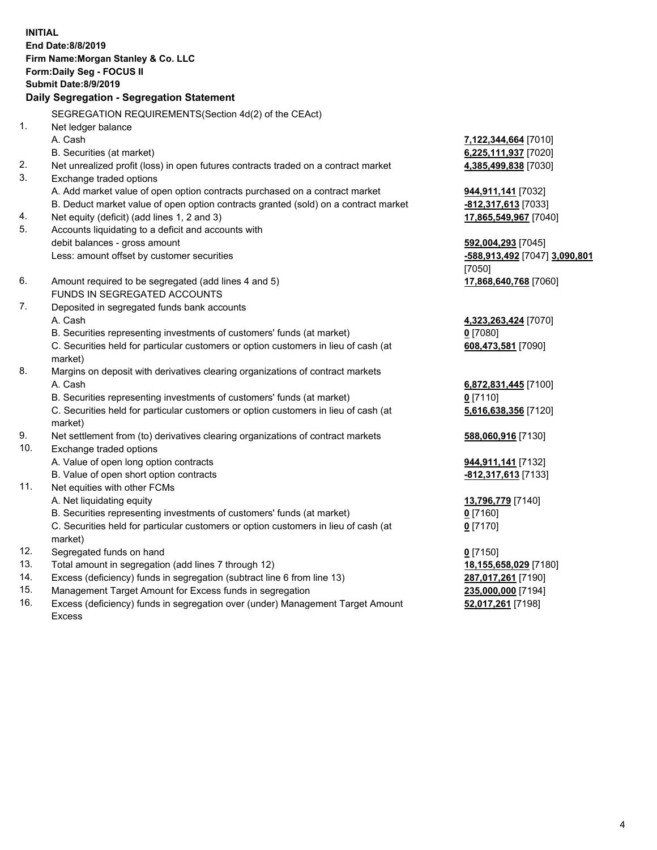| <b>INITIAL</b> | End Date:8/8/2019<br>Firm Name: Morgan Stanley & Co. LLC<br>Form: Daily Seg - FOCUS II<br><b>Submit Date: 8/9/2019</b><br>Daily Segregation - Segregation Statement |                               |
|----------------|---------------------------------------------------------------------------------------------------------------------------------------------------------------------|-------------------------------|
|                |                                                                                                                                                                     |                               |
|                | SEGREGATION REQUIREMENTS (Section 4d(2) of the CEAct)                                                                                                               |                               |
| 1.             | Net ledger balance                                                                                                                                                  |                               |
|                | A. Cash                                                                                                                                                             | 7,122,344,664 [7010]          |
|                | B. Securities (at market)                                                                                                                                           | 6,225,111,937 [7020]          |
| 2.             | Net unrealized profit (loss) in open futures contracts traded on a contract market                                                                                  | 4,385,499,838 [7030]          |
| 3.             | Exchange traded options                                                                                                                                             |                               |
|                | A. Add market value of open option contracts purchased on a contract market                                                                                         | 944,911,141 [7032]            |
|                | B. Deduct market value of open option contracts granted (sold) on a contract market                                                                                 | -812,317,613 [7033]           |
| 4.             | Net equity (deficit) (add lines 1, 2 and 3)                                                                                                                         | 17,865,549,967 [7040]         |
| 5.             | Accounts liquidating to a deficit and accounts with                                                                                                                 |                               |
|                | debit balances - gross amount                                                                                                                                       | 592,004,293 [7045]            |
|                | Less: amount offset by customer securities                                                                                                                          | -588,913,492 [7047] 3,090,801 |
|                |                                                                                                                                                                     | [7050]                        |
| 6.             | Amount required to be segregated (add lines 4 and 5)                                                                                                                | 17,868,640,768 [7060]         |
|                | FUNDS IN SEGREGATED ACCOUNTS                                                                                                                                        |                               |
| 7.             | Deposited in segregated funds bank accounts                                                                                                                         |                               |
|                | A. Cash                                                                                                                                                             | 4,323,263,424 [7070]          |
|                | B. Securities representing investments of customers' funds (at market)                                                                                              | $0$ [7080]                    |
|                | C. Securities held for particular customers or option customers in lieu of cash (at<br>market)                                                                      | 608,473,581 [7090]            |
| 8.             | Margins on deposit with derivatives clearing organizations of contract markets                                                                                      |                               |
|                | A. Cash                                                                                                                                                             | 6,872,831,445 [7100]          |
|                | B. Securities representing investments of customers' funds (at market)                                                                                              | $0$ [7110]                    |
|                | C. Securities held for particular customers or option customers in lieu of cash (at                                                                                 | 5,616,638,356 [7120]          |
|                | market)                                                                                                                                                             |                               |
| 9.             | Net settlement from (to) derivatives clearing organizations of contract markets                                                                                     | 588,060,916 [7130]            |
| 10.            | Exchange traded options                                                                                                                                             |                               |
|                | A. Value of open long option contracts                                                                                                                              | <b>944,911,141</b> [7132]     |
|                | B. Value of open short option contracts                                                                                                                             | -812,317,613 [7133]           |
| 11.            | Net equities with other FCMs                                                                                                                                        |                               |
|                | A. Net liquidating equity                                                                                                                                           | 13,796,779 [7140]             |
|                | B. Securities representing investments of customers' funds (at market)                                                                                              | $0$ [7160]                    |
|                | C. Securities held for particular customers or option customers in lieu of cash (at<br>market)                                                                      | $0$ [7170]                    |
| 12.            | Segregated funds on hand                                                                                                                                            | $0$ [7150]                    |
| 13.            | Total amount in segregation (add lines 7 through 12)                                                                                                                | 18,155,658,029 [7180]         |
| 14.            | Excess (deficiency) funds in segregation (subtract line 6 from line 13)                                                                                             | 287,017,261 [7190]            |
|                |                                                                                                                                                                     | $AP$ and and $TAQ$            |

15. Management Target Amount for Excess funds in segregation<br>16. Excess (deficiency) funds in segregation over (under) Manage Excess (deficiency) funds in segregation over (under) Management Target Amount Excess

**235,000,000** [7194]<br>**52,017,261** [7198]